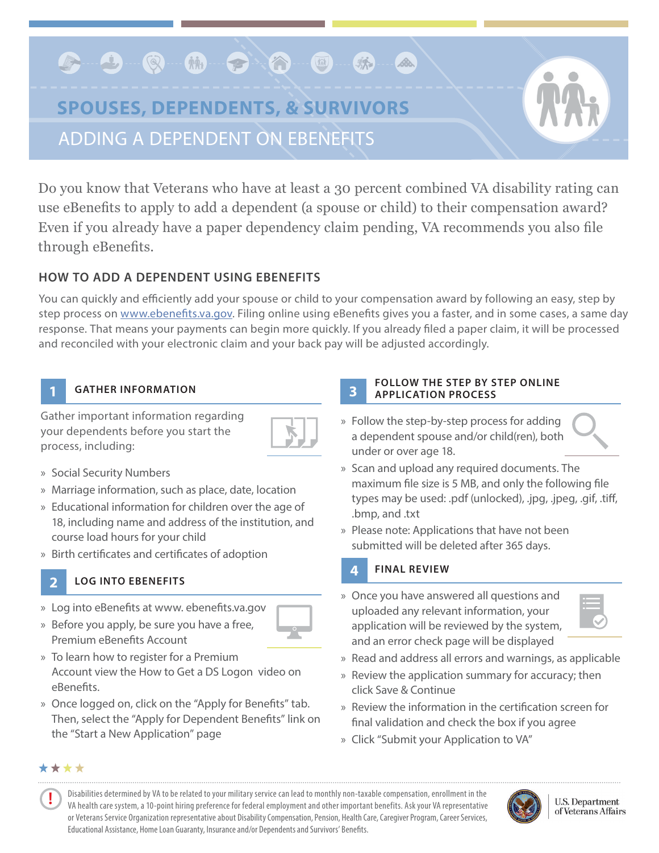## **C-9-Q-M-9-0-**麻 Bo. **SPOUSES, DEPENDENTS, & SURVIVORS**

ADDING A DEPENDENT ON EBENEFITS

Do you know that Veterans who have at least a 30 percent combined VA disability rating can use eBenefits to apply to add a dependent (a spouse or child) to their compensation award? Even if you already have a paper dependency claim pending, VA recommends you also file through eBenefits.

# **HOW TO ADD A DEPENDENT USING EBENEFITS**

You can quickly and efficiently add your spouse or child to your compensation award by following an easy, step by step process on [www.ebenefits.va.gov.](http://www.ebenefits.va.gov) Filing online using eBenefits gives you a faster, and in some cases, a same day response. That means your payments can begin more quickly. If you already filed a paper claim, it will be processed and reconciled with your electronic claim and your back pay will be adjusted accordingly.

### **GATHER INFORMATION**

Gather important information regarding your dependents before you start the process, including:



» Social Security Numbers

**1**

**2**

- » Marriage information, such as place, date, location
- » Educational information for children over the age of 18, including name and address of the institution, and course load hours for your child
- » Birth certificates and certificates of adoption

### **LOG INTO EBENEFITS**

- » Log into eBenefits at www. ebenefits.va.gov
- » Before you apply, be sure you have a free, Premium eBenefits Account
- » To learn how to register for a Premium Account view the How to Get a DS Logon video on eBenefits.
- » Once logged on, click on the "Apply for Benefits" tab. Then, select the "Apply for Dependent Benefits" link on the "Start a New Application" page

# **3**

### **FOLLOW THE STEP BY STEP ONLINE APPLICATION PROCESS**

- » Follow the step-by-step process for adding a dependent spouse and/or child(ren), both under or over age 18.
- » Scan and upload any required documents. The maximum file size is 5 MB, and only the following file types may be used: .pdf (unlocked), .jpg, .jpeg, .gif, .tiff, .bmp, and .txt
- » Please note: Applications that have not been submitted will be deleted after 365 days.

# **FINAL REVIEW**

**4**

- » Once you have answered all questions and uploaded any relevant information, your application will be reviewed by the system, and an error check page will be displayed
- 
- » Read and address all errors and warnings, as applicable
- » Review the application summary for accuracy; then click Save & Continue
- » Review the information in the certification screen for final validation and check the box if you agree
- » Click "Submit your Application to VA"

### \*\*\*\*

**!**

Disabilities determined by VA to be related to your military service can lead to monthly non-taxable compensation, enrollment in the VA health care system, a 10-point hiring preference for federal employment and other important benefits. Ask your VA representative or Veterans Service Organization representative about Disability Compensation, Pension, Health Care, Caregiver Program, Career Services, Educational Assistance, Home Loan Guaranty, Insurance and/or Dependents and Survivors' Benefits.